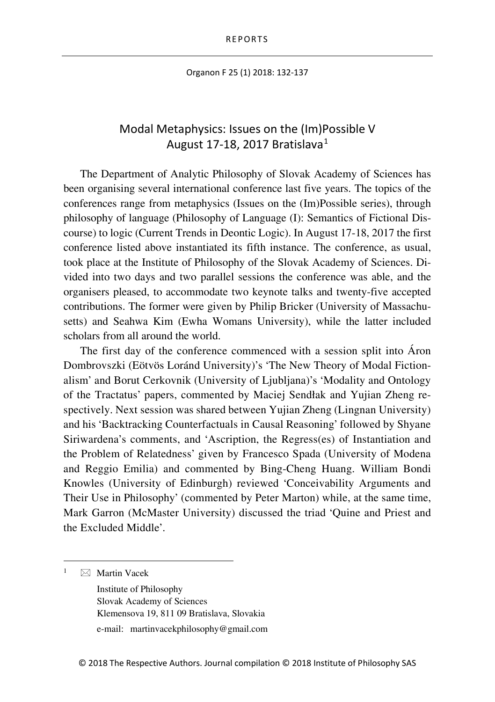Organon F 25 (1) 2018: 132-137

## Modal Metaphysics: Issues on the (Im)Possible V August [1](#page-0-0)7-18, 2017 Bratislava $1$

The Department of Analytic Philosophy of Slovak Academy of Sciences has been organising several international conference last five years. The topics of the conferences range from metaphysics (Issues on the (Im)Possible series), through philosophy of language (Philosophy of Language (I): Semantics of Fictional Discourse) to logic (Current Trends in Deontic Logic). In August 17-18, 2017 the first conference listed above instantiated its fifth instance. The conference, as usual, took place at the Institute of Philosophy of the Slovak Academy of Sciences. Divided into two days and two parallel sessions the conference was able, and the organisers pleased, to accommodate two keynote talks and twenty-five accepted contributions. The former were given by Philip Bricker (University of Massachusetts) and Seahwa Kim (Ewha Womans University), while the latter included scholars from all around the world.

The first day of the conference commenced with a session split into Áron Dombrovszki (Eötvös Loránd University)'s 'The New Theory of Modal Fictionalism' and Borut Cerkovnik (University of Ljubljana)'s 'Modality and Ontology of the Tractatus' papers, commented by Maciej Sendłak and Yujian Zheng respectively. Next session was shared between Yujian Zheng (Lingnan University) and his 'Backtracking Counterfactuals in Causal Reasoning' followed by Shyane Siriwardena's comments, and 'Ascription, the Regress(es) of Instantiation and the Problem of Relatedness' given by Francesco Spada (University of Modena and Reggio Emilia) and commented by Bing-Cheng Huang. William Bondi Knowles (University of Edinburgh) reviewed 'Conceivability Arguments and Their Use in Philosophy' (commented by Peter Marton) while, at the same time, Mark Garron (McMaster University) discussed the triad 'Quine and Priest and the Excluded Middle'.

<span id="page-0-0"></span> $\boxtimes$  Martin Vacek

Institute of Philosophy Slovak Academy of Sciences Klemensova 19, 811 09 Bratislava, Slovakia e-mail: martinvacekphilosophy@gmail.com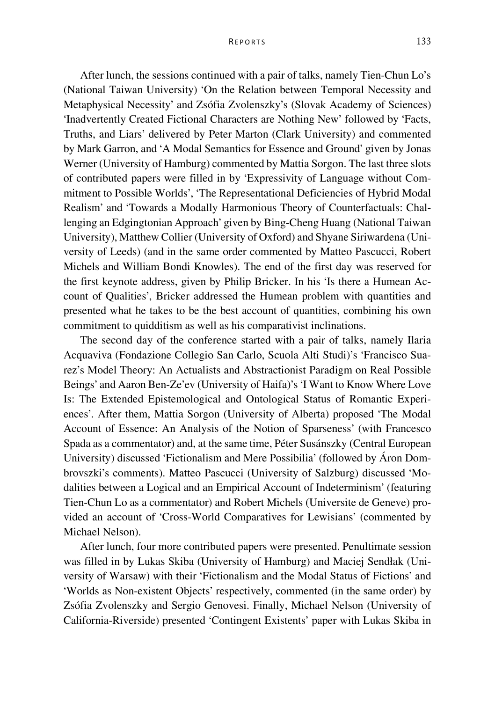## REPORTS 133

After lunch, the sessions continued with a pair of talks, namely Tien-Chun Lo's (National Taiwan University) 'On the Relation between Temporal Necessity and Metaphysical Necessity' and Zsófia Zvolenszky's (Slovak Academy of Sciences) 'Inadvertently Created Fictional Characters are Nothing New' followed by 'Facts, Truths, and Liars' delivered by Peter Marton (Clark University) and commented by Mark Garron, and 'A Modal Semantics for Essence and Ground' given by Jonas Werner (University of Hamburg) commented by Mattia Sorgon. The last three slots of contributed papers were filled in by 'Expressivity of Language without Commitment to Possible Worlds', 'The Representational Deficiencies of Hybrid Modal Realism' and 'Towards a Modally Harmonious Theory of Counterfactuals: Challenging an Edgingtonian Approach' given by Bing-Cheng Huang (National Taiwan University), Matthew Collier (University of Oxford) and Shyane Siriwardena (University of Leeds) (and in the same order commented by Matteo Pascucci, Robert Michels and William Bondi Knowles). The end of the first day was reserved for the first keynote address, given by Philip Bricker. In his 'Is there a Humean Account of Qualities', Bricker addressed the Humean problem with quantities and presented what he takes to be the best account of quantities, combining his own commitment to quidditism as well as his comparativist inclinations.

The second day of the conference started with a pair of talks, namely Ilaria Acquaviva (Fondazione Collegio San Carlo, Scuola Alti Studi)'s 'Francisco Suarez's Model Theory: An Actualists and Abstractionist Paradigm on Real Possible Beings' and Aaron Ben-Ze'ev (University of Haifa)'s 'I Want to Know Where Love Is: The Extended Epistemological and Ontological Status of Romantic Experiences'. After them, Mattia Sorgon (University of Alberta) proposed 'The Modal Account of Essence: An Analysis of the Notion of Sparseness' (with Francesco Spada as a commentator) and, at the same time, Péter Susánszky (Central European University) discussed 'Fictionalism and Mere Possibilia' (followed by Áron Dombrovszki's comments). Matteo Pascucci (University of Salzburg) discussed 'Modalities between a Logical and an Empirical Account of Indeterminism' (featuring Tien-Chun Lo as a commentator) and Robert Michels (Universite de Geneve) provided an account of 'Cross-World Comparatives for Lewisians' (commented by Michael Nelson).

After lunch, four more contributed papers were presented. Penultimate session was filled in by Lukas Skiba (University of Hamburg) and Maciej Sendłak (University of Warsaw) with their 'Fictionalism and the Modal Status of Fictions' and 'Worlds as Non-existent Objects' respectively, commented (in the same order) by Zsófia Zvolenszky and Sergio Genovesi. Finally, Michael Nelson (University of California-Riverside) presented 'Contingent Existents' paper with Lukas Skiba in